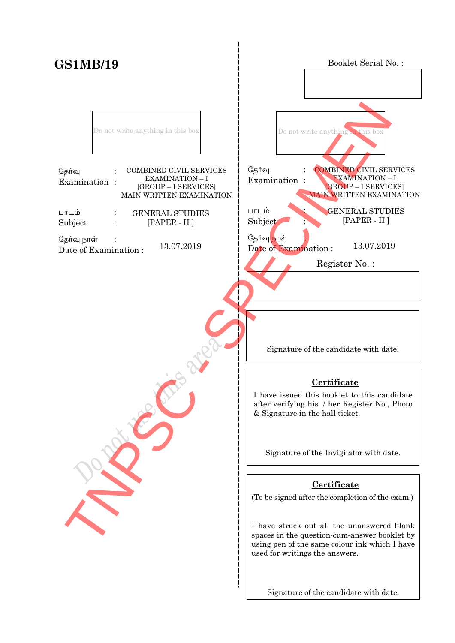<span id="page-0-0"></span>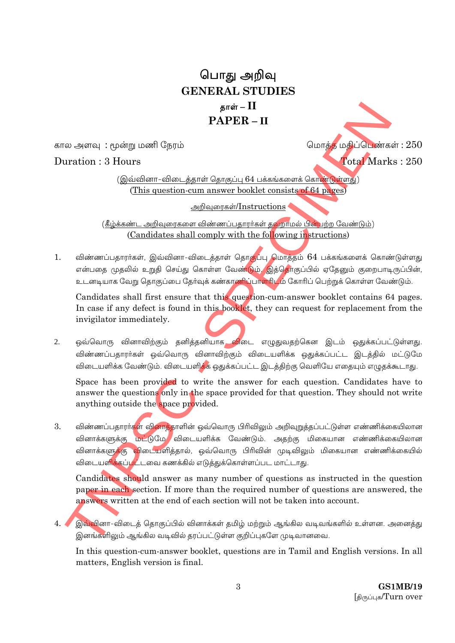# பொது அறிவு **GENERAL STUDIES** தாள் –  $\mathbf{II}$ PAPER-II

கால அளவு: மூன்று மணி நேரம்

### Duration: 3 Hours

மொத்த மதிப்பெண்கள் :  $250$ Total Marks: 250

(இவ்வினா-விடைத்தாள் தொகுப்பு 64 பக்கங்களைக் கொண்டுள்ளது) (This question-cum answer booklet consists of 64 pages)

அறிவுரைகள்/Instructions

(கீழ்க்கண்ட அறிவுரைகளை விண்ணப்பதாரர்கள் தவறாமல் பின்பற்ற வேண்டும்) (Candidates shall comply with the following instructions)

விண்ணப்பதாரர்கள், இவ்வினா-விடைத்தாள் தொகுப்பு மொத்தம் 64 பக்கங்களைக் கொண்டுள்ளது  $1.$ என்பதை முதலில் உறுதி செய்து கொள்ள வேண்<mark>டும், இத்த</mark>ொகுப்பில் ஏதேனும் குறைபாடிருப்பின், உடனடியாக வேறு தொகுப்பை தேர்வுக் கண்காணிப்பாளரிடம் கோரிப் பெற்றுக் கொள்ள வேண்டும்.

Candidates shall first ensure that this question-cum-answer booklet contains 64 pages. In case if any defect is found in this booklet, they can request for replacement from the invigilator immediately.

ஒவ்வொரு வினாவிற்கும் தனித்தனியாக விடை எழுதுவதற்கென இடம் ஒதுக்கப்பட்டுள்ளது.  $\overline{2}$ . விண்ணப்பதாரா்கள் ஒவ்வொரு வினாவிற்கும் விடையளிக்க ஒதுக்கப்பட்ட இடத்தில் மட்டுமே விடையளிக்க வேண்டும். விடையளிக்க ஒதுக்கப்பட்ட இடத்திற்கு வெளியே எதையும் எழுதக்கூடாது.

Space has been provided to write the answer for each question. Candidates have to answer the questions only in the space provided for that question. They should not write anything outside the space provided.

 $3.$ விண்ணப்பதாரா்<mark>க</mark>ள் வி<mark>னாத்த</mark>ாளின் ஒவ்வொரு பிரிவிலும் அறிவுறுத்தப்பட்டுள்ள எண்ணிக்கையிலான வினாக்களுக்கு மட்டுமே விடையளிக்க வேண்டும். அதற்கு மிகையான எண்ணிக்கையிலான வினாக்களு<mark>க்கு விடைய</mark>ளித்தால், ஒவ்வொரு பிரிவின் முடிவிலும் மிகையான எண்ணிக்கையில் விடையளி<mark>க்கப்ப</mark>ட்டவை கணக்கில் எடுத்துக்கொள்ளப்பட மாட்டாது.

Candidates should answer as many number of questions as instructed in the question paper in each section. If more than the required number of questions are answered, the answers written at the end of each section will not be taken into account.

இவ்வினா-விடைத் தொகுப்பில் வினாக்கள் தமிழ் மற்றும் ஆங்கில வடிவங்களில் உள்ளன. அனைத்து  $4\sqrt{ }$ இனங்களிலும் ஆங்கில வடிவில் தரப்பட்டுள்ள குறிப்புகளே முடிவானவை.

In this question-cum-answer booklet, questions are in Tamil and English versions. In all matters, English version is final.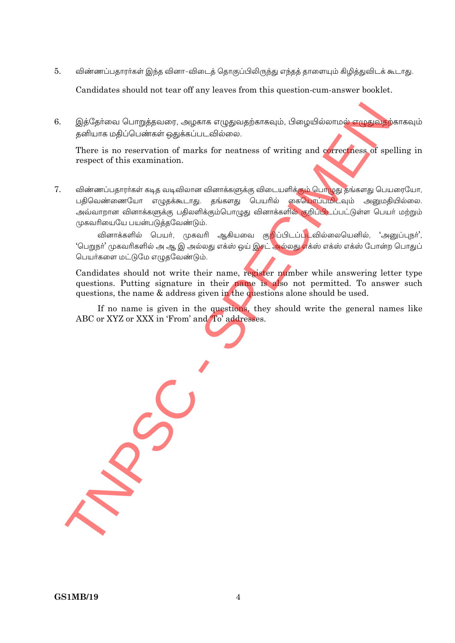$5<sub>1</sub>$ விண்ணப்பதாரா்கள் இந்த வினா-விடைத் தொகுப்பிலிருந்து எந்தத் தாளையும் கிழித்துவிடக் கூடாது.

Candidates should not tear off any leaves from this question-cum-answer booklet.

6. இத்தேர்வை பொறுத்தவரை, அழகாக எழுதுவதற்காகவும், பிழையில்லாம<mark>ல் எழுதுவதற்</mark>காகவும் தனியாக மதிப்பெண்கள் ஒதுக்கப்படவில்லை.

There is no reservation of marks for neatness of writing and correctness of spelling in respect of this examination.

7. விண்ணப்பதாரா்கள் கடித வடிவிலான வினாக்களுக்கு விடையளிக்<mark>கும் பொழுது தங்களது பெயரையோ,</mark> பதிவெண்ணையோ எழுதக்கூடாது. தங்களது பெயரில் கையொப்பமிடவும் அனுமதியில்லை. அவ்வாறான வினாக்களுக்கு பதிலளிக்கும்பொழுது வினாக்களில<mark>் குறிப்ப</mark>ிடப்பட்டுள்ள பெயர் மற்றும் முகவரியையே பயன்படுத்தவேண்டும்.

வினாக்களில் பெயர், முகவரி ஆகியவை கு<mark>றிப்பிடப்ப</mark>டவில்லையெனில், 'அனுப்புநர்', 'பெறுநா்' முகவரிகளில் அ ஆ இ அல்லது எக்ஸ் ஒய் இசட் அல்லது <mark>எ</mark>க்ஸ் எக்ஸ் எக்ஸ் போன்ற பொதுப் பெயர்களை மட்டுமே எழுதவேண்டும்.

Candidates should not write their name, register number while answering letter type questions. Putting signature in their name is also not permitted. To answer such questions, the name & address given in the questions alone should be used.

If no name is given in the questions, they should write the general names like ABC or XYZ or XXX in 'From' and 'To' addresses.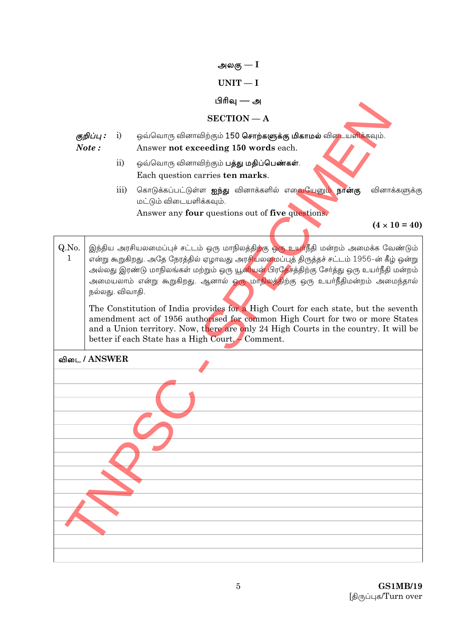அலகு —  $\rm I$ 

 $UNIT-I$ 

பிரிவு — அ

### $SECTION - A$

- ஒவ்வொரு வினாவிற்கும் 150 **சொற்களுக்கு மிகாமல்** வி**டையளிக்க**வும். குறிப்பு :  $i)$  $Note:$ Answer not exceeding 150 words each.
	- ஒவ்வொரு வினாவிற்கும் **பத்து மதிப்பெண்கள்**.  $ii)$ Each question carries ten marks.
	- கொடுக்கப்பட்டுள்ள **ஐந்து** வினாக்களில் எவையேனு<mark>ம் நான்கு</mark>  $\overline{111}$ வினாக்களுக்கு மட்டும் விடையளிக்கவும்.

Answer any four questions out of five questions.

 $(4 \times 10 = 40)$ 

இந்திய அரசியலமைப்புச் சட்டம் ஒரு மாநிலத்த<mark>ிற்கு ஒரு உயர</mark>்நீதி மன்றம் அமைக்க வேண்டும் Q.No.  $\mathbf{1}$ என்று கூறுகிறது. அதே நேரத்தில் ஏழாவது அரசியலமைப்புத் திருத்தச் சட்டம் 1956-ன் கீழ் ஒன்று அல்லது இரண்டு மாநிலங்கள் மற்றும் ஒரு யூ<mark>னியன் பிரதே</mark>சத்திற்கு சேர்த்து ஒரு உயர்நீதி மன்றம் அமையலாம் என்று கூறுகிறது. ஆனால் <mark>ஒரு மாநிலத்தி</mark>ற்கு ஒரு உயா்நீதிமன்றம் அமைந்தால் நல்லது. விவாதி.

The Constitution of India provides for a High Court for each state, but the seventh amendment act of 1956 authorised for common High Court for two or more States and a Union territory. Now, there are only 24 High Courts in the country. It will be better if each State has a High Court. - Comment.

 $\omega$  / ANSWER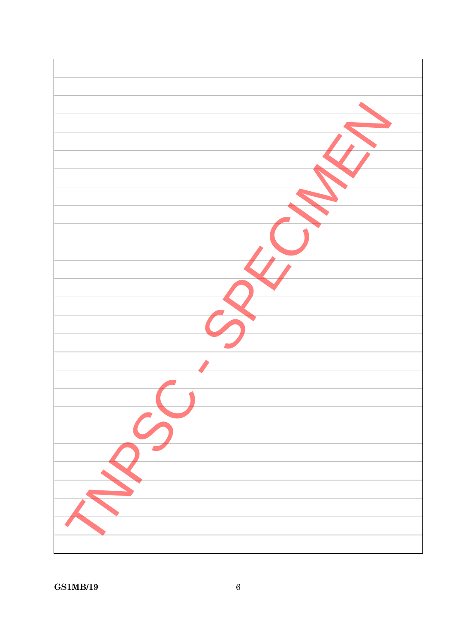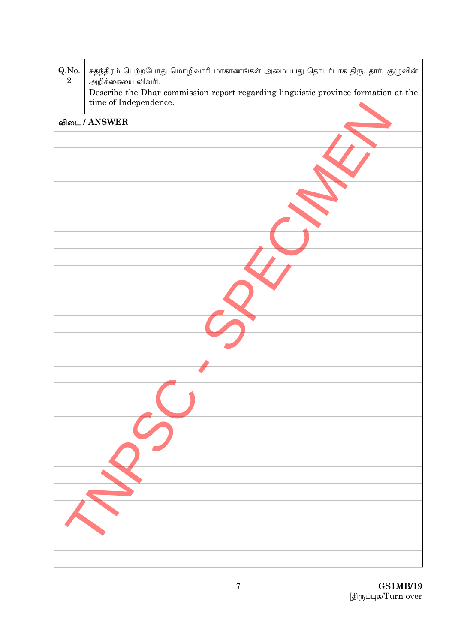| Describe the Dhar commission report regarding linguistic province formation at the |
|------------------------------------------------------------------------------------|
|                                                                                    |
|                                                                                    |
|                                                                                    |
|                                                                                    |
|                                                                                    |
|                                                                                    |
|                                                                                    |
|                                                                                    |
|                                                                                    |
|                                                                                    |
|                                                                                    |
|                                                                                    |
|                                                                                    |
|                                                                                    |
|                                                                                    |
|                                                                                    |
|                                                                                    |
|                                                                                    |
|                                                                                    |
|                                                                                    |
|                                                                                    |
|                                                                                    |
|                                                                                    |
|                                                                                    |
|                                                                                    |
|                                                                                    |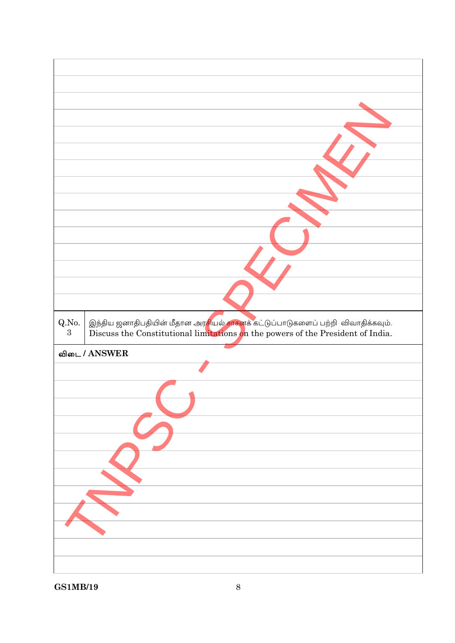| Q.No.<br>$\boldsymbol{3}$ | இந்திய ஜனாதிபதியின் மீதான அர <mark>சியல் சாசனக் கட்டுப்பாடுகளைப் பற்றி  விவாதிக்கவும்.</mark><br>Discuss the Constitutional limitations on the powers of the President of India. |
|---------------------------|----------------------------------------------------------------------------------------------------------------------------------------------------------------------------------|
|                           | விடை / ANSWER                                                                                                                                                                    |
|                           |                                                                                                                                                                                  |
|                           |                                                                                                                                                                                  |
|                           |                                                                                                                                                                                  |
|                           |                                                                                                                                                                                  |
|                           |                                                                                                                                                                                  |
|                           |                                                                                                                                                                                  |
|                           |                                                                                                                                                                                  |
|                           |                                                                                                                                                                                  |
|                           |                                                                                                                                                                                  |
|                           |                                                                                                                                                                                  |
|                           |                                                                                                                                                                                  |
|                           |                                                                                                                                                                                  |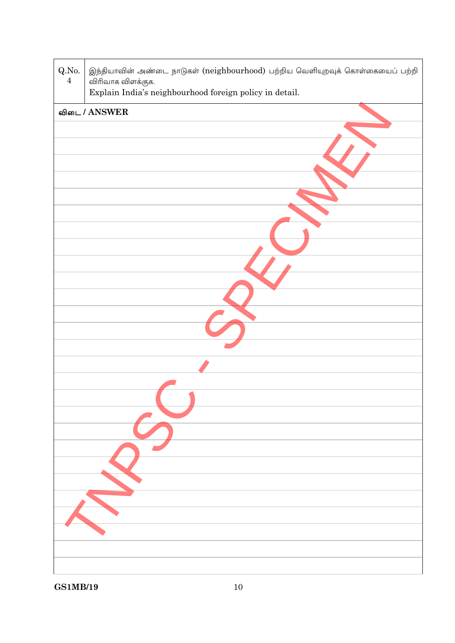| Q.No.<br>$\overline{4}$ | இந்தியாவின் அண்டை நாடுகள் (neighbourhood) பற்றிய வெளியுறவுக் கொள்கையைப் பற்றி<br>விரிவாக விளக்குக.<br>Explain India's neighbourhood foreign policy in detail. |
|-------------------------|---------------------------------------------------------------------------------------------------------------------------------------------------------------|
|                         | விடை / ANSWER                                                                                                                                                 |
|                         |                                                                                                                                                               |
|                         |                                                                                                                                                               |
|                         |                                                                                                                                                               |
|                         |                                                                                                                                                               |
|                         |                                                                                                                                                               |
|                         |                                                                                                                                                               |
|                         |                                                                                                                                                               |
|                         |                                                                                                                                                               |
|                         |                                                                                                                                                               |
|                         |                                                                                                                                                               |
|                         |                                                                                                                                                               |
|                         |                                                                                                                                                               |
|                         |                                                                                                                                                               |
|                         |                                                                                                                                                               |
|                         |                                                                                                                                                               |
|                         |                                                                                                                                                               |
|                         |                                                                                                                                                               |
|                         |                                                                                                                                                               |
|                         |                                                                                                                                                               |
|                         |                                                                                                                                                               |
|                         |                                                                                                                                                               |
|                         |                                                                                                                                                               |
|                         |                                                                                                                                                               |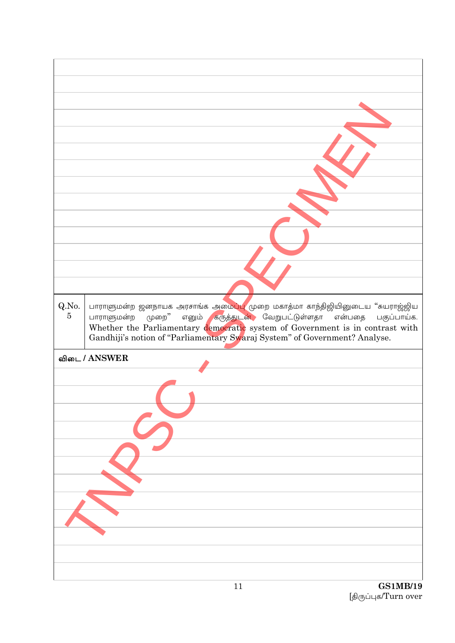| Q.No.<br>$\overline{5}$ | பாராளுமன்ற ஜனநாயக அரசாங்க அமைப்பு முறை மகாத்மா காந்திஜியினுடைய "சுயராஜ்ஜிய<br>எனும் கருத்துடன் வேறுபட்டுள்ளதா என்பதை<br>பாராளுமன்ற<br>முறை''<br>பகுப்பாய்க.<br>Whether the Parliamentary democratic system of Government is in contrast with<br>Gandhiji's notion of "Parliamentary Swaraj System" of Government? Analyse. |
|-------------------------|----------------------------------------------------------------------------------------------------------------------------------------------------------------------------------------------------------------------------------------------------------------------------------------------------------------------------|
|                         | விடை / ANSWER                                                                                                                                                                                                                                                                                                              |
|                         |                                                                                                                                                                                                                                                                                                                            |
|                         |                                                                                                                                                                                                                                                                                                                            |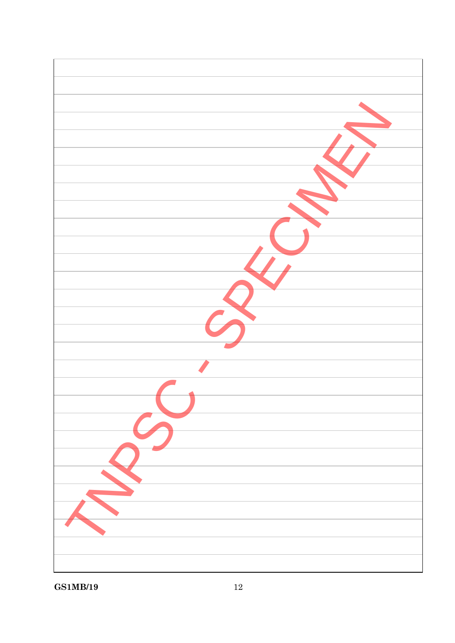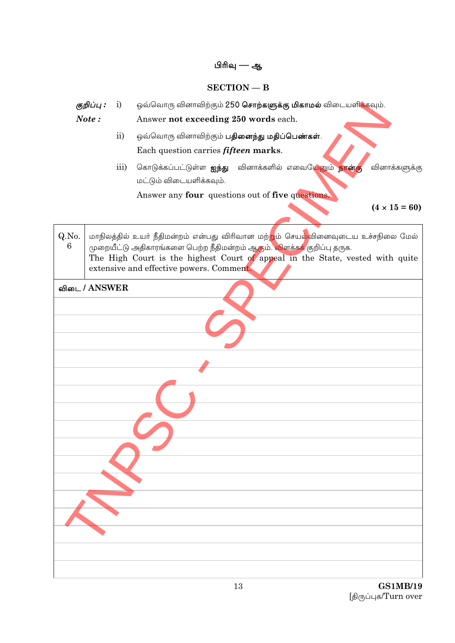### பிரிவு — ஆ

### $SECTION - B$

குறிப்பு : ஒவ்வொரு வினாவிற்கும் 250 சொ**ற்களுக்கு மிகாமல்** விடையளி<mark>க்க</mark>வும்.  $i)$ 

Answer not exceeding 250 words each. Note:

- ஒவ்வொரு வினாவிற்கும் **பதினைந்து மதிப்பெண்கள்**.  $\mathbf{ii}$ Each question carries *fifteen* marks.
- கொடுக்கப்பட்டுள்ள **ஐந்து** வினாக்களில் எவையேனும் <mark>நான்கு</mark> வினாக்களுக்கு iii) மட்டும் விடையளிக்கவும்.

Answer any four questions out of five questions

 $(4 \times 15 = 60)$ 

| Q.No.<br>$6\phantom{1}6$ | மாநிலத்தில் உயர் நீதிமன்றம் என்பது விரிவான மற <mark>்ற</mark> ும் செயல் <mark>வினைவுடைய உச்சநிலை மேல்</mark><br>முறையீட்டு அதிகாரங்களை பெற்ற நீதிமன்றம் ஆகும். <mark>விளக்கக்</mark> குறிப்பு தருக.<br>The High Court is the highest Court of appeal in the State, vested with quite<br>extensive and effective powers. Comment. |
|--------------------------|----------------------------------------------------------------------------------------------------------------------------------------------------------------------------------------------------------------------------------------------------------------------------------------------------------------------------------|
|                          | விடை / ANSWER                                                                                                                                                                                                                                                                                                                    |
|                          |                                                                                                                                                                                                                                                                                                                                  |
|                          |                                                                                                                                                                                                                                                                                                                                  |
|                          |                                                                                                                                                                                                                                                                                                                                  |
|                          |                                                                                                                                                                                                                                                                                                                                  |
|                          |                                                                                                                                                                                                                                                                                                                                  |
|                          |                                                                                                                                                                                                                                                                                                                                  |
|                          |                                                                                                                                                                                                                                                                                                                                  |
|                          |                                                                                                                                                                                                                                                                                                                                  |
|                          |                                                                                                                                                                                                                                                                                                                                  |
|                          |                                                                                                                                                                                                                                                                                                                                  |
|                          |                                                                                                                                                                                                                                                                                                                                  |
|                          |                                                                                                                                                                                                                                                                                                                                  |
|                          |                                                                                                                                                                                                                                                                                                                                  |
|                          |                                                                                                                                                                                                                                                                                                                                  |
|                          |                                                                                                                                                                                                                                                                                                                                  |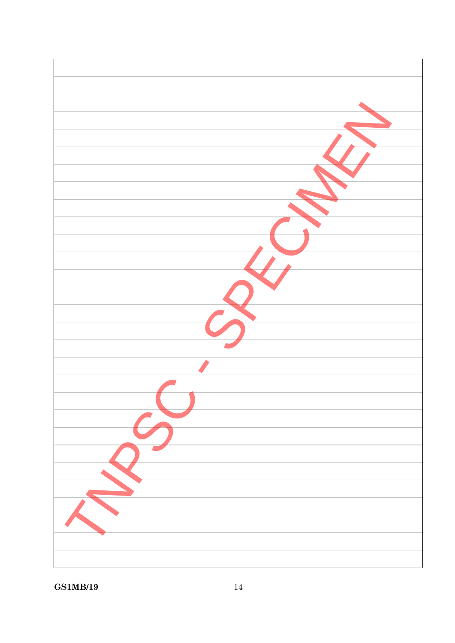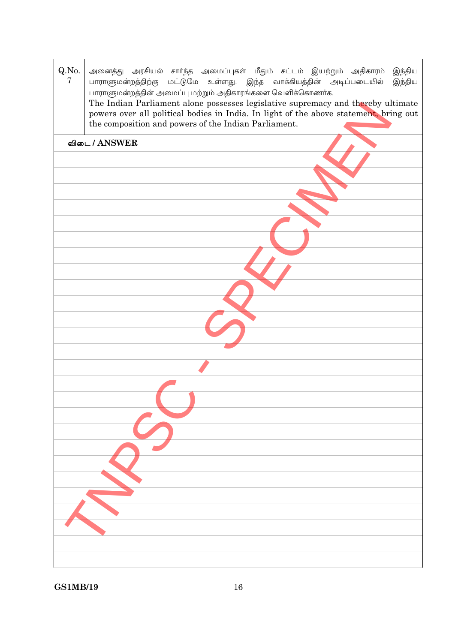| Q.No.<br>$\overline{7}$ | அனைத்து அரசியல் சாா்ந்த அமைப்புகள் மீதும் சட்டம் இயற்றும் அதிகாரம்<br>இந்திய<br>பாராளுமன்றத்திற்கு மட்டுமே உள்ளது. இந்த வாக்கியத்தின் அடிப்படையில்<br>இந்திய<br>பாராளுமன்றத்தின் அமைப்பு மற்றும் அதிகாரங்களை வெளிக்கொணர்க.<br>The Indian Parliament alone possesses legislative supremacy and thereby ultimate<br>powers over all political bodies in India. In light of the above statement, bring out<br>the composition and powers of the Indian Parliament. |
|-------------------------|-----------------------------------------------------------------------------------------------------------------------------------------------------------------------------------------------------------------------------------------------------------------------------------------------------------------------------------------------------------------------------------------------------------------------------------------------------------------|
|                         | விடை / ANSWER                                                                                                                                                                                                                                                                                                                                                                                                                                                   |
|                         |                                                                                                                                                                                                                                                                                                                                                                                                                                                                 |
|                         |                                                                                                                                                                                                                                                                                                                                                                                                                                                                 |
|                         |                                                                                                                                                                                                                                                                                                                                                                                                                                                                 |
|                         |                                                                                                                                                                                                                                                                                                                                                                                                                                                                 |
|                         |                                                                                                                                                                                                                                                                                                                                                                                                                                                                 |
|                         |                                                                                                                                                                                                                                                                                                                                                                                                                                                                 |
|                         |                                                                                                                                                                                                                                                                                                                                                                                                                                                                 |
|                         |                                                                                                                                                                                                                                                                                                                                                                                                                                                                 |
|                         |                                                                                                                                                                                                                                                                                                                                                                                                                                                                 |
|                         |                                                                                                                                                                                                                                                                                                                                                                                                                                                                 |
|                         |                                                                                                                                                                                                                                                                                                                                                                                                                                                                 |
|                         |                                                                                                                                                                                                                                                                                                                                                                                                                                                                 |
|                         |                                                                                                                                                                                                                                                                                                                                                                                                                                                                 |
|                         |                                                                                                                                                                                                                                                                                                                                                                                                                                                                 |
|                         |                                                                                                                                                                                                                                                                                                                                                                                                                                                                 |
|                         |                                                                                                                                                                                                                                                                                                                                                                                                                                                                 |
|                         |                                                                                                                                                                                                                                                                                                                                                                                                                                                                 |
|                         |                                                                                                                                                                                                                                                                                                                                                                                                                                                                 |
|                         |                                                                                                                                                                                                                                                                                                                                                                                                                                                                 |
|                         |                                                                                                                                                                                                                                                                                                                                                                                                                                                                 |
|                         |                                                                                                                                                                                                                                                                                                                                                                                                                                                                 |
|                         |                                                                                                                                                                                                                                                                                                                                                                                                                                                                 |
|                         |                                                                                                                                                                                                                                                                                                                                                                                                                                                                 |
|                         |                                                                                                                                                                                                                                                                                                                                                                                                                                                                 |
|                         |                                                                                                                                                                                                                                                                                                                                                                                                                                                                 |
|                         |                                                                                                                                                                                                                                                                                                                                                                                                                                                                 |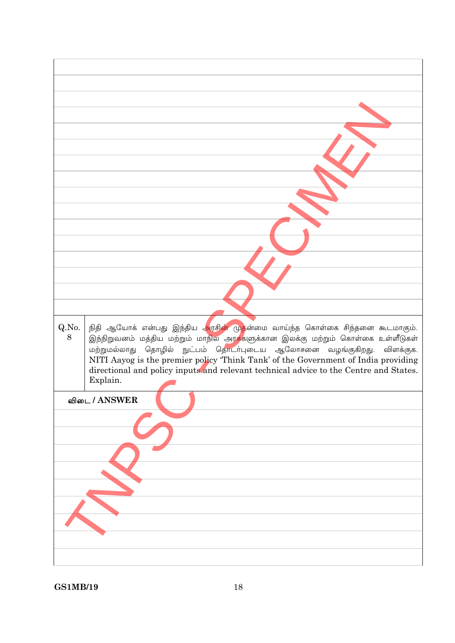| Q.No. | நிதி ஆயோக் என்பது இந்திய <mark>அரசின் முத</mark> ன்மை வாய்ந்த கொள்கை சிந்தனை கூடமாகும்.                                                                                     |
|-------|-----------------------------------------------------------------------------------------------------------------------------------------------------------------------------|
| $8\,$ | இந்நிறுவனம் மத்திய மற்றும் மா <mark>நில அரச</mark> ுகளுக்கான இலக்கு மற்றும் கொள்கை உள்ளீடுகள்                                                                               |
|       | மற்றுமல்லாது தொழில் நுட்பம் தொடர்புடைய ஆலோசனை வழங்குகிறது. விளக்குக.                                                                                                        |
|       | NITI Aayog is the premier policy 'Think Tank' of the Government of India providing<br>directional and policy inputs and relevant technical advice to the Centre and States. |
|       | Explain.                                                                                                                                                                    |
|       | விடை / ANSWER                                                                                                                                                               |
|       |                                                                                                                                                                             |
|       |                                                                                                                                                                             |
|       |                                                                                                                                                                             |
|       |                                                                                                                                                                             |
|       |                                                                                                                                                                             |
|       |                                                                                                                                                                             |
|       |                                                                                                                                                                             |
|       |                                                                                                                                                                             |
|       |                                                                                                                                                                             |
|       |                                                                                                                                                                             |
|       |                                                                                                                                                                             |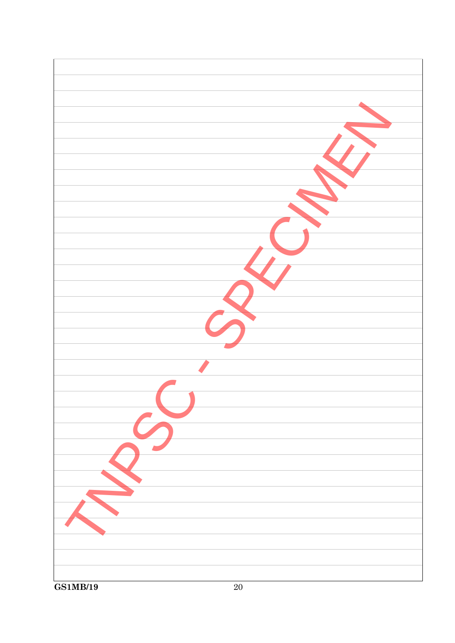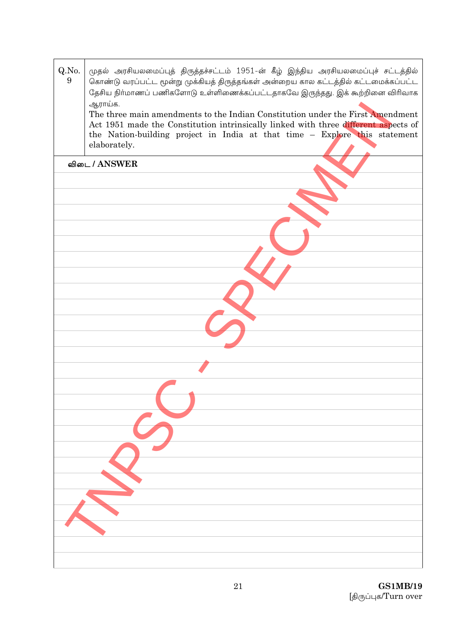$Q.No.$ முதல் அரசியலமைப்புத் திருத்தச்சட்டம் 1951-ன் கீழ் இந்திய அரசியலமைப்புச் சட்டத்தில் 9 கொண்டு வரப்பட்ட மூன்று முக்கியத் திருத்தங்கள் அன்றைய கால கட்டத்தில் கட்டமைக்கப்பட்ட தேசிய நிர்மாணப் பணிகளோடு உள்ளிணைக்கப்பட்டதாகவே இருந்தது. இக் கூற்றினை விரிவாக ஆராய்க. The three main amendments to the Indian Constitution under the First Amendment Act 1951 made the Constitution intrinsically linked with three different aspects of the Nation-building project in India at that time - Explore this statement elaborately. விடை / ANSWER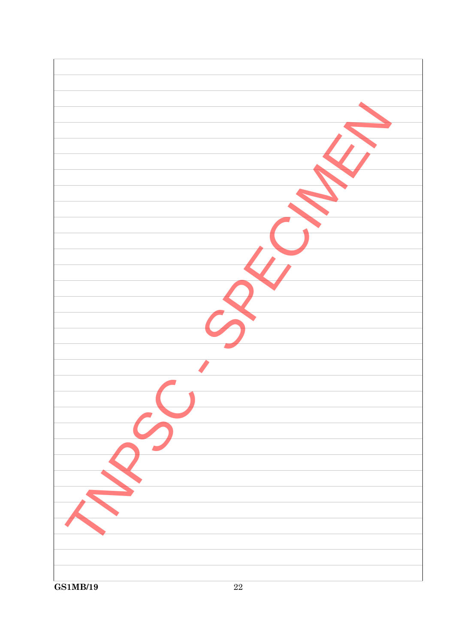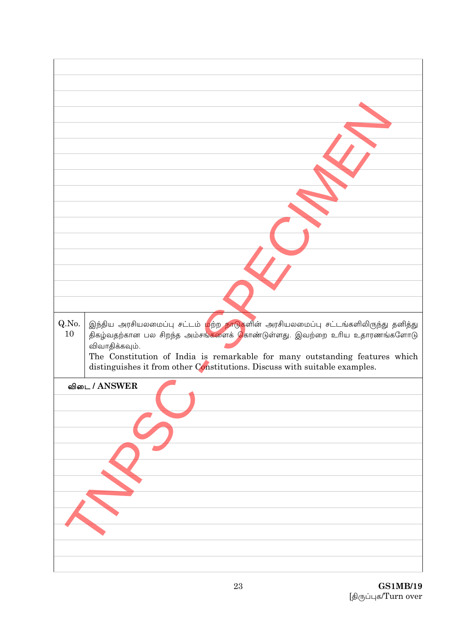| Q.No.<br>10 | இந்திய அரசியலமைப்பு சட்டம் <mark>மற்ற நாடுகளி</mark> ன் அரசியலமைப்பு சட்டங்களிலிருந்து தனித்து<br>திகழ்வதற்கான பல சிறந்த அம்சங்களைக் கொண்டுள்ளது. இவற்றை உரிய உதாரணங்களோடு<br>விவாதிக்கவும். |
|-------------|----------------------------------------------------------------------------------------------------------------------------------------------------------------------------------------------|
|             | The Constitution of India is remarkable for many outstanding features which<br>distinguishes it from other Constitutions. Discuss with suitable examples.                                    |
|             | விடை / ANSWER                                                                                                                                                                                |
|             |                                                                                                                                                                                              |
|             |                                                                                                                                                                                              |
|             |                                                                                                                                                                                              |
|             |                                                                                                                                                                                              |
|             |                                                                                                                                                                                              |
|             |                                                                                                                                                                                              |
|             |                                                                                                                                                                                              |
|             |                                                                                                                                                                                              |
|             |                                                                                                                                                                                              |
|             |                                                                                                                                                                                              |
|             |                                                                                                                                                                                              |
|             |                                                                                                                                                                                              |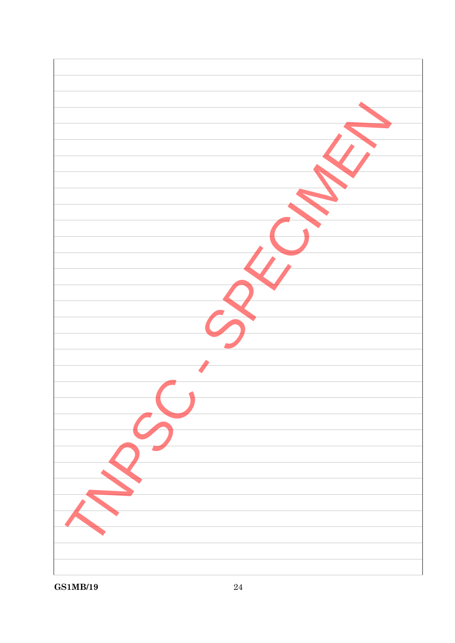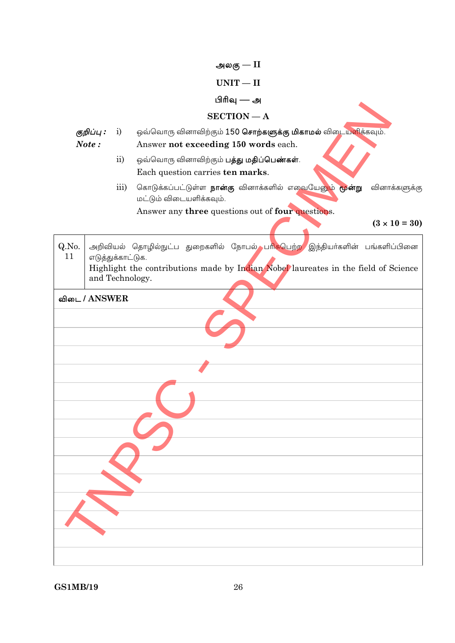|             |                                      |               | அலகு — $\mathrm{II}$                                                                                 |                      |
|-------------|--------------------------------------|---------------|------------------------------------------------------------------------------------------------------|----------------------|
|             |                                      |               | $UNIT - II$                                                                                          |                      |
|             |                                      |               | பிரிவு — அ                                                                                           |                      |
|             |                                      |               | $SECTION - A$                                                                                        |                      |
|             | குறிப்பு :<br>Note:                  | i)            | ஒவ்வொரு வினாவிற்கும் 150 சொற்களுக்கு மிகாமல் விடையளிக்கவும்.<br>Answer not exceeding 150 words each. |                      |
|             |                                      | $\mathbf{ii}$ | ஒவ்வொரு வினாவிற்கும் <b>பத்து மதிப்பெண்கள்</b> .<br>Each question carries ten marks.                 |                      |
|             |                                      | iii)          | கொடுக்கப்பட்டுள்ள <b>நான்கு</b> வினாக்களில் எவையேனும் <b>மூன்று</b><br>மட்டும் விடையளிக்கவும்.       | வினாக்களுக்கு        |
|             |                                      |               | Answer any three questions out of four questions.                                                    |                      |
|             |                                      |               |                                                                                                      | $(3 \times 10 = 30)$ |
| Q.No.<br>11 |                                      |               | அறிவியல் தொழில்நுட்ப துறைகளில் நோபல <mark>் பரிசுபெற்ற</mark> இந்தியர்களின் பங்களிப்பினை             |                      |
|             | எடுத்துக்காட்டுக.<br>and Technology. |               | Highlight the contributions made by Indian Nobel laureates in the field of Science                   |                      |
|             | விடை / ANSWER                        |               |                                                                                                      |                      |
|             |                                      |               |                                                                                                      |                      |
|             |                                      |               |                                                                                                      |                      |
|             |                                      |               |                                                                                                      |                      |
|             |                                      |               |                                                                                                      |                      |
|             |                                      |               |                                                                                                      |                      |
|             |                                      |               |                                                                                                      |                      |
|             |                                      |               |                                                                                                      |                      |
|             |                                      |               |                                                                                                      |                      |
|             |                                      |               |                                                                                                      |                      |
|             |                                      |               |                                                                                                      |                      |
|             |                                      |               |                                                                                                      |                      |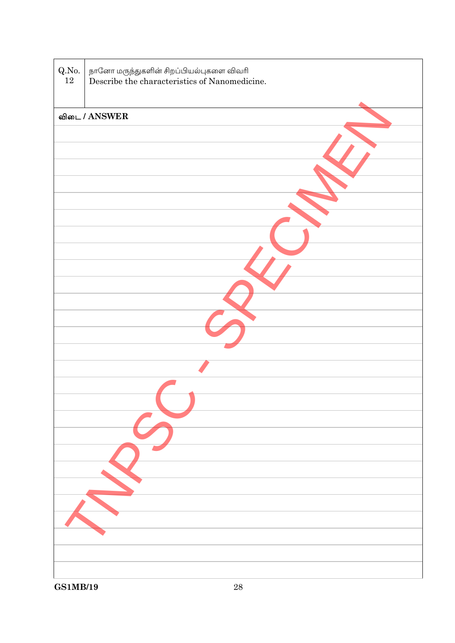| Q.No.<br>$12\,$ | நானோ மருந்துகளின் சிறப்பியல்புகளை விவரி<br>Describe the characteristics of Nanomedicine. |
|-----------------|------------------------------------------------------------------------------------------|
|                 | விடை / ANSWER                                                                            |
|                 |                                                                                          |
|                 |                                                                                          |
|                 |                                                                                          |
|                 |                                                                                          |
|                 |                                                                                          |
|                 |                                                                                          |
|                 |                                                                                          |
|                 |                                                                                          |
|                 |                                                                                          |
|                 |                                                                                          |
|                 |                                                                                          |
|                 |                                                                                          |
|                 |                                                                                          |
|                 |                                                                                          |
|                 |                                                                                          |
|                 |                                                                                          |
|                 |                                                                                          |
|                 |                                                                                          |
|                 |                                                                                          |
|                 |                                                                                          |
|                 |                                                                                          |
|                 |                                                                                          |
|                 |                                                                                          |
|                 |                                                                                          |
|                 |                                                                                          |
|                 |                                                                                          |
|                 |                                                                                          |
|                 |                                                                                          |
|                 |                                                                                          |
|                 |                                                                                          |
|                 |                                                                                          |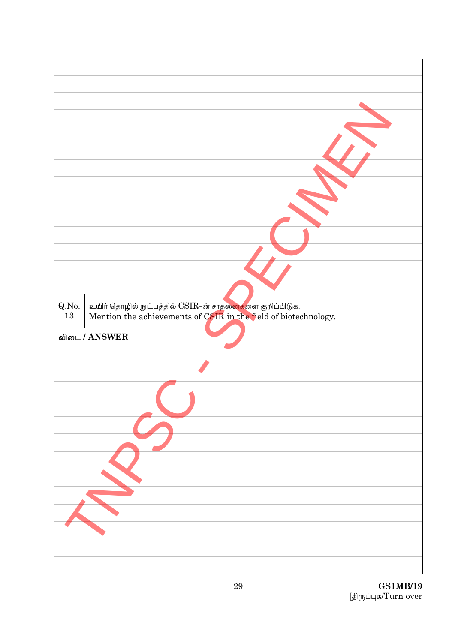| $\operatorname{Q.No.}$<br>உயிர் தொழில் நுட்பத்தில் $\operatorname{CSIR}$ –ன் சாதனைகளை குறிப்பிடுக.<br>$13\,$<br>Mention the achievements of CSIR in the field of biotechnology. |
|---------------------------------------------------------------------------------------------------------------------------------------------------------------------------------|
|                                                                                                                                                                                 |
| விடை / ANSWER                                                                                                                                                                   |
|                                                                                                                                                                                 |
|                                                                                                                                                                                 |
|                                                                                                                                                                                 |
|                                                                                                                                                                                 |
|                                                                                                                                                                                 |
|                                                                                                                                                                                 |
|                                                                                                                                                                                 |
|                                                                                                                                                                                 |
|                                                                                                                                                                                 |
|                                                                                                                                                                                 |
|                                                                                                                                                                                 |
|                                                                                                                                                                                 |
|                                                                                                                                                                                 |
|                                                                                                                                                                                 |
|                                                                                                                                                                                 |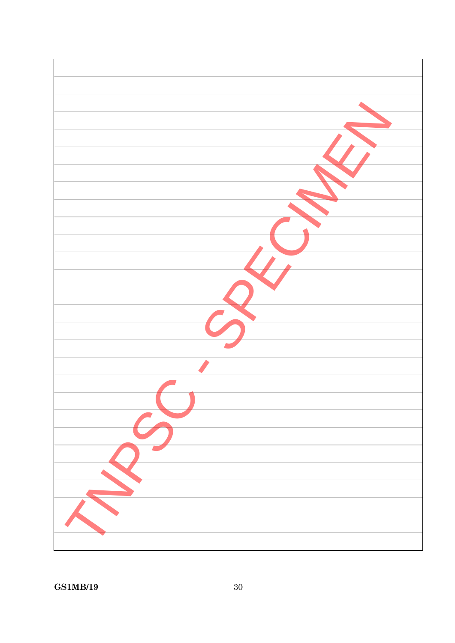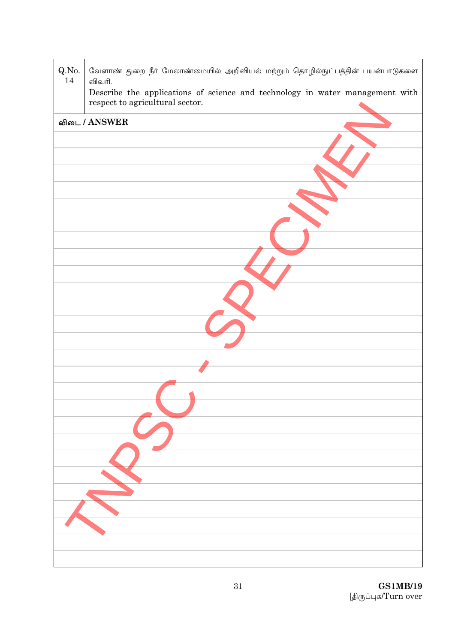| Q.No.<br>14 | வேளாண் துறை நீர் மேலாண்மையில் அறிவியல் மற்றும் தொழில்நுட்பத்தின் பயன்பாடுகளை<br>விவரி.<br>Describe the applications of science and technology in water management with |
|-------------|------------------------------------------------------------------------------------------------------------------------------------------------------------------------|
|             | respect to agricultural sector.                                                                                                                                        |
|             | விடை / ANSWER                                                                                                                                                          |
|             |                                                                                                                                                                        |
|             |                                                                                                                                                                        |
|             |                                                                                                                                                                        |
|             |                                                                                                                                                                        |
|             |                                                                                                                                                                        |
|             |                                                                                                                                                                        |
|             |                                                                                                                                                                        |
|             |                                                                                                                                                                        |
|             |                                                                                                                                                                        |
|             |                                                                                                                                                                        |
|             |                                                                                                                                                                        |
|             |                                                                                                                                                                        |
|             |                                                                                                                                                                        |
|             |                                                                                                                                                                        |
|             |                                                                                                                                                                        |
|             |                                                                                                                                                                        |
|             |                                                                                                                                                                        |
|             |                                                                                                                                                                        |
|             |                                                                                                                                                                        |
|             |                                                                                                                                                                        |
|             |                                                                                                                                                                        |
|             |                                                                                                                                                                        |
|             |                                                                                                                                                                        |
|             |                                                                                                                                                                        |
|             |                                                                                                                                                                        |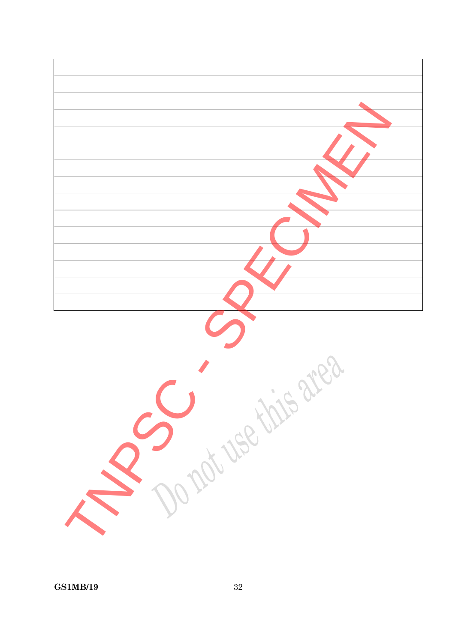**THE DO TO SPECIAL STATES**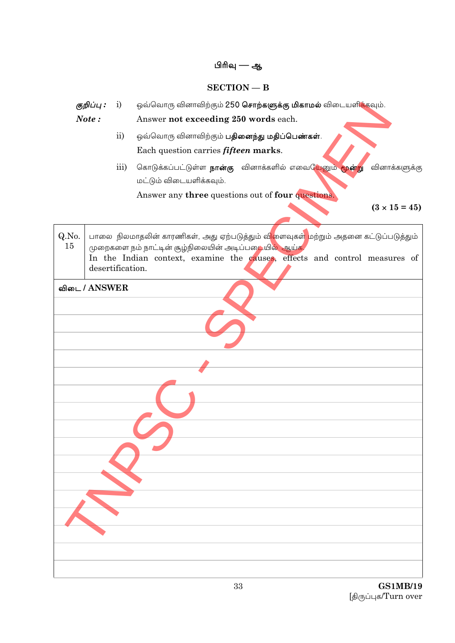### பிரிவு — ஆ

### $SECTION - B$

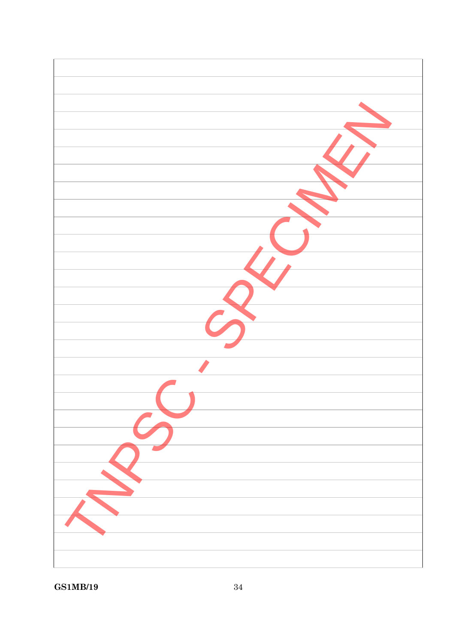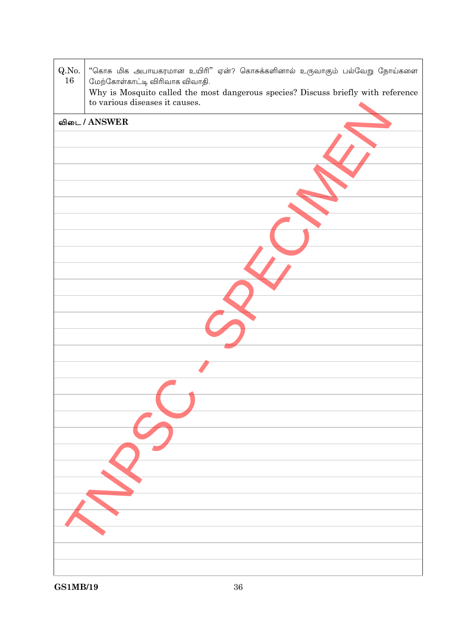| Q.No.<br>16 | "கொசு மிக அபாயகரமான உயிரி" ஏன்? கொசுக்களினால் உருவாகும் பல்வேறு நோய்களை<br>மேற்கோள்காட்டி விரிவாக விவாதி.           |
|-------------|---------------------------------------------------------------------------------------------------------------------|
|             | Why is Mosquito called the most dangerous species? Discuss briefly with reference<br>to various diseases it causes. |
|             | விடை / ANSWER                                                                                                       |
|             |                                                                                                                     |
|             |                                                                                                                     |
|             |                                                                                                                     |
|             |                                                                                                                     |
|             |                                                                                                                     |
|             |                                                                                                                     |
|             |                                                                                                                     |
|             |                                                                                                                     |
|             |                                                                                                                     |
|             |                                                                                                                     |
|             |                                                                                                                     |
|             |                                                                                                                     |
|             |                                                                                                                     |
|             |                                                                                                                     |
|             |                                                                                                                     |
|             |                                                                                                                     |
|             |                                                                                                                     |
|             |                                                                                                                     |
|             |                                                                                                                     |
|             |                                                                                                                     |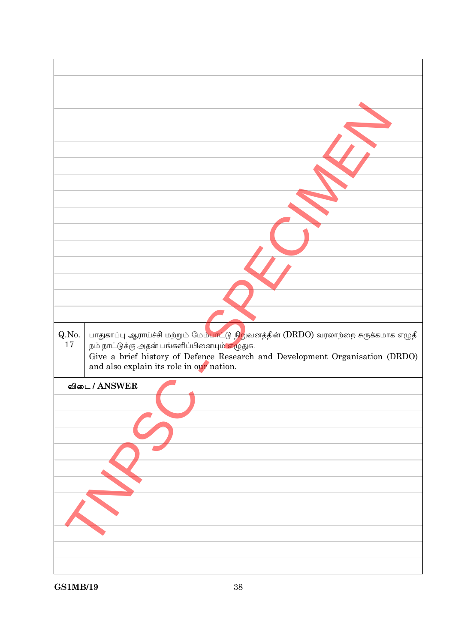| Q.No.<br>17 | பாதுகாப்பு ஆராய்ச்சி மற்றும் மேம்பாட்டு நிறுவனத்தின் (DRDO) வரலாற்றை சுருக்கமாக எழுதி<br>நம் நாட்டுக்கு அதன் பங்களிப்பினையும <mark>் எழு</mark> துக.<br>Give a brief history of Defence Research and Development Organisation (DRDO)<br>and also explain its role in our nation. |
|-------------|----------------------------------------------------------------------------------------------------------------------------------------------------------------------------------------------------------------------------------------------------------------------------------|
|             | விடை / ANSWER                                                                                                                                                                                                                                                                    |
|             |                                                                                                                                                                                                                                                                                  |
|             |                                                                                                                                                                                                                                                                                  |
|             |                                                                                                                                                                                                                                                                                  |
|             |                                                                                                                                                                                                                                                                                  |
|             |                                                                                                                                                                                                                                                                                  |
|             |                                                                                                                                                                                                                                                                                  |
|             |                                                                                                                                                                                                                                                                                  |
|             |                                                                                                                                                                                                                                                                                  |
|             |                                                                                                                                                                                                                                                                                  |
|             |                                                                                                                                                                                                                                                                                  |
|             |                                                                                                                                                                                                                                                                                  |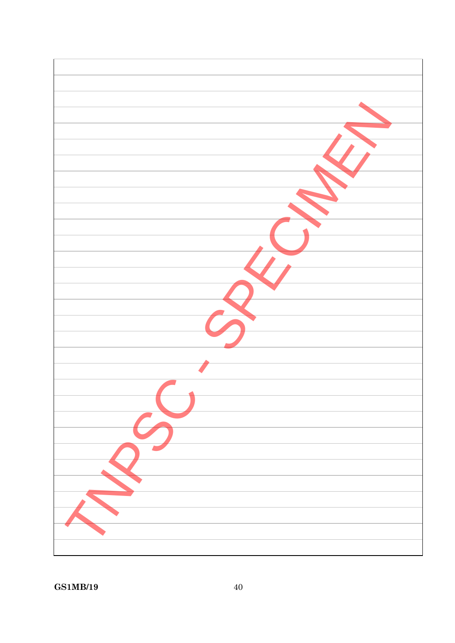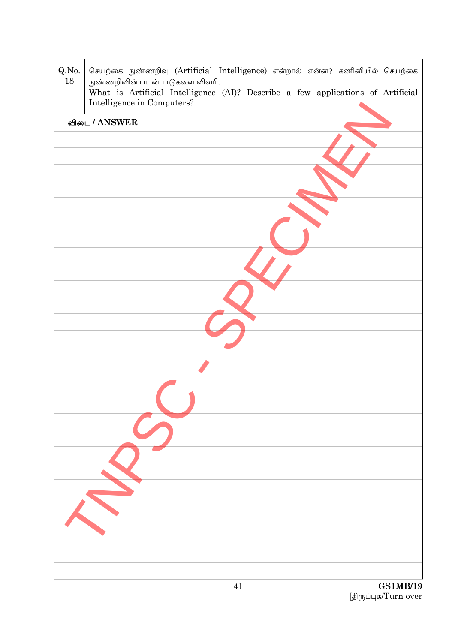| Q.No.<br>18 | செயற்கை நுண்ணறிவு (Artificial Intelligence) என்றால் என்ன? கணினியில் செயற்கை<br>நுண்ணறிவின் பயன்பாடுகளை விவரி. |
|-------------|---------------------------------------------------------------------------------------------------------------|
|             | What is Artificial Intelligence (AI)? Describe a few applications of Artificial<br>Intelligence in Computers? |
|             | விடை / ANSWER                                                                                                 |
|             |                                                                                                               |
|             |                                                                                                               |
|             |                                                                                                               |
|             |                                                                                                               |
|             |                                                                                                               |
|             |                                                                                                               |
|             |                                                                                                               |
|             |                                                                                                               |
|             |                                                                                                               |
|             |                                                                                                               |
|             |                                                                                                               |
|             |                                                                                                               |
|             |                                                                                                               |
|             |                                                                                                               |
|             |                                                                                                               |
|             |                                                                                                               |
|             |                                                                                                               |
|             |                                                                                                               |
|             |                                                                                                               |
|             |                                                                                                               |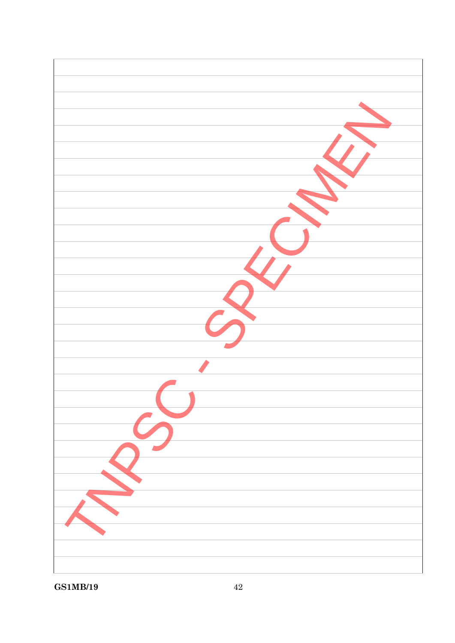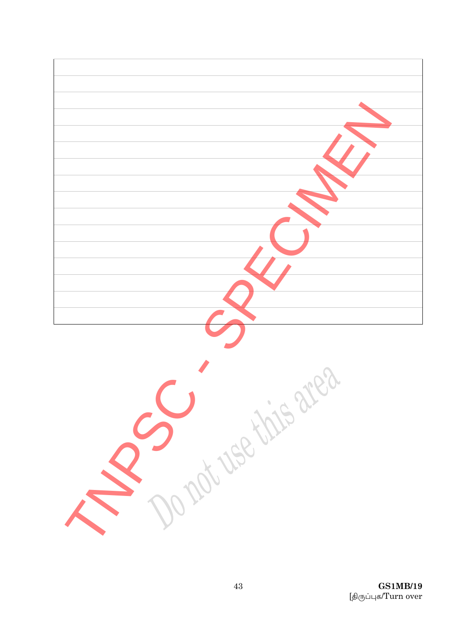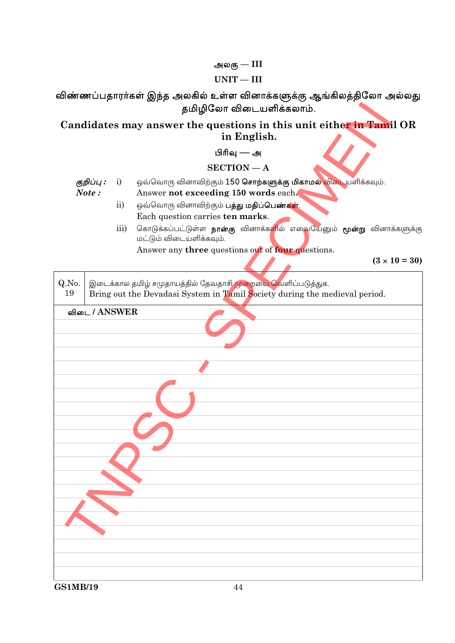# அலகு —  $III$  $UNIT - III$

விண்ணப்பதாரர்கள் இந்த அலகில் உள்ள வினாக்களுக்கு ஆங்கிலத்திலோ அல்லது தமிழிலோ விடையளிக்கலாம்.

# Candidates may answer the questions in this unit either in Tamil OR in English.

பிரிவு — அ

### $SECTION - A$

ஒவ்வொரு வினாவிற்கும் 150 **சொற்களுக்கு மிகாமல் விடை**யளிக்கவும். குறிப்பு :  $i)$ 

Note:

- Answer not exceeding 150 words each.
- ஒவ்வொரு வினாவிற்கும் **பத்து மதிப்பெண்கள்**.  $\overline{ii}$ Each question carries ten marks.
- கொடுக்கப்பட்டுள்ள **நான்கு** வினாக்க<mark>ளில் எவையேனும் மூன்று</mark> வினாக்களுக்கு  $\overline{iii}$ மட்டும் விடையளிக்கவும்.

Answer any three questions out of four questions.

 $(3 \times 10 = 30)$ 

| Q.No.<br>19 | இடைக்கால தமிழ் சமுதாயத்தில் தேவதாச <mark>ி முறையை வெ</mark> ளிப்படுத்துக.<br>Bring out the Devadasi System in Tamil Society during the medieval period. |  |
|-------------|---------------------------------------------------------------------------------------------------------------------------------------------------------|--|
|             | விடை / ANSWER                                                                                                                                           |  |
|             |                                                                                                                                                         |  |
|             |                                                                                                                                                         |  |
|             |                                                                                                                                                         |  |
|             |                                                                                                                                                         |  |
|             |                                                                                                                                                         |  |
|             |                                                                                                                                                         |  |
|             |                                                                                                                                                         |  |
|             |                                                                                                                                                         |  |
|             |                                                                                                                                                         |  |
|             |                                                                                                                                                         |  |
|             |                                                                                                                                                         |  |
|             |                                                                                                                                                         |  |
|             |                                                                                                                                                         |  |
|             |                                                                                                                                                         |  |
|             |                                                                                                                                                         |  |
|             |                                                                                                                                                         |  |
|             |                                                                                                                                                         |  |
|             |                                                                                                                                                         |  |
|             |                                                                                                                                                         |  |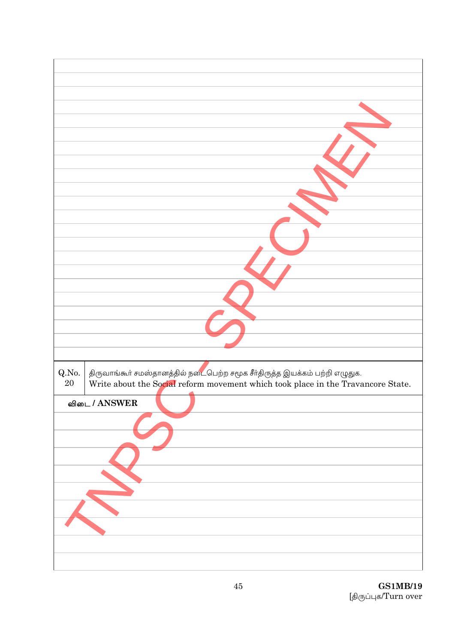| Q.No.  |                                                                                                                                                                |  |
|--------|----------------------------------------------------------------------------------------------------------------------------------------------------------------|--|
| $20\,$ | திருவாங்கூா் சமஸ்தானத்தில் நடைபெற்ற சமூக சீா்திருத்த இயக்கம் பற்றி எழுதுக.<br>Write about the Social reform movement which took place in the Travancore State. |  |
|        |                                                                                                                                                                |  |
|        | விடை / ANSWER                                                                                                                                                  |  |
|        |                                                                                                                                                                |  |
|        |                                                                                                                                                                |  |
|        |                                                                                                                                                                |  |
|        |                                                                                                                                                                |  |
|        |                                                                                                                                                                |  |
|        |                                                                                                                                                                |  |
|        |                                                                                                                                                                |  |
|        |                                                                                                                                                                |  |
|        |                                                                                                                                                                |  |
|        |                                                                                                                                                                |  |
|        |                                                                                                                                                                |  |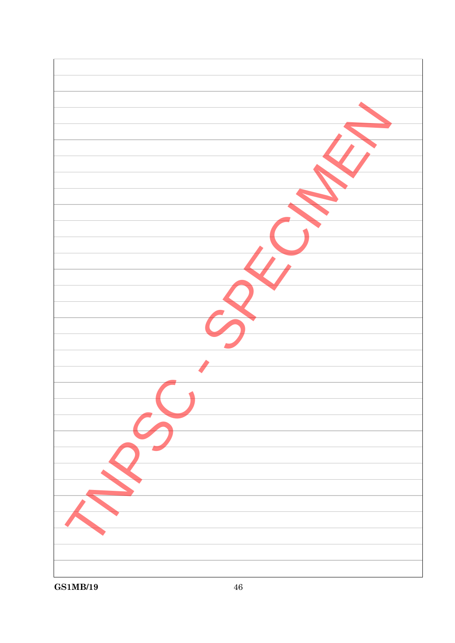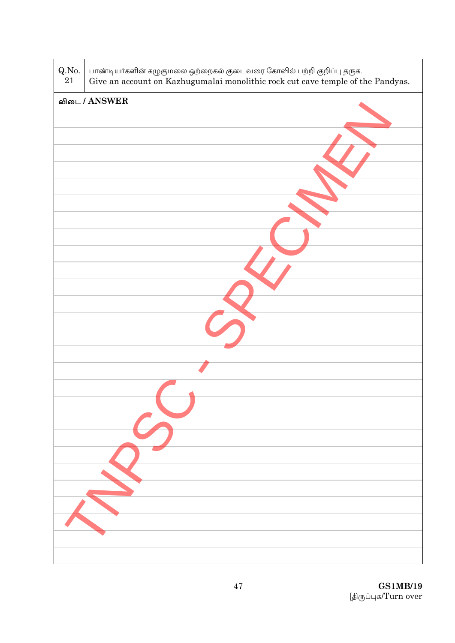| Q.No.<br>$21\,$ | பாண்டியர்களின் கழுகுமலை ஒற்றைகல் குடைவரை கோவில் பற்றி குறிப்பு தருக.<br>Give an account on Kazhugumalai monolithic rock cut cave temple of the Pandyas. |
|-----------------|---------------------------------------------------------------------------------------------------------------------------------------------------------|
|                 | விடை / ANSWER                                                                                                                                           |
|                 |                                                                                                                                                         |
|                 |                                                                                                                                                         |
|                 |                                                                                                                                                         |
|                 |                                                                                                                                                         |
|                 |                                                                                                                                                         |
|                 |                                                                                                                                                         |
|                 |                                                                                                                                                         |
|                 |                                                                                                                                                         |
|                 |                                                                                                                                                         |
|                 |                                                                                                                                                         |
|                 |                                                                                                                                                         |
|                 |                                                                                                                                                         |
|                 |                                                                                                                                                         |
|                 |                                                                                                                                                         |
|                 |                                                                                                                                                         |
|                 |                                                                                                                                                         |
|                 |                                                                                                                                                         |
|                 |                                                                                                                                                         |
|                 |                                                                                                                                                         |
|                 |                                                                                                                                                         |
|                 |                                                                                                                                                         |
|                 |                                                                                                                                                         |
|                 |                                                                                                                                                         |
|                 |                                                                                                                                                         |
|                 |                                                                                                                                                         |
|                 |                                                                                                                                                         |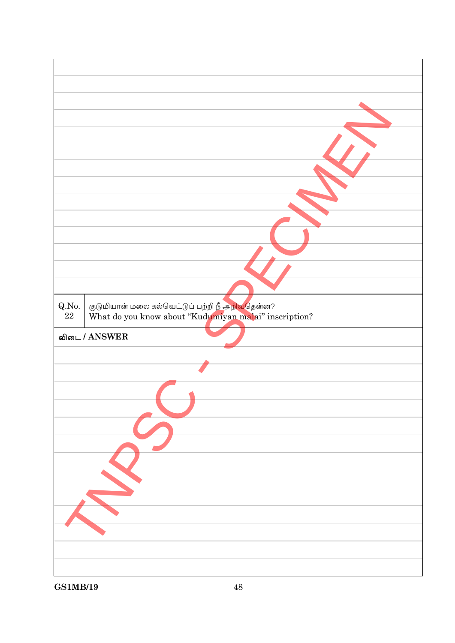| $\operatorname{Q.No.}$<br>$22\,$ | குடுமியான் மலை கல்வெட்டுப் பற்றி நீ அறிவதென்ன?<br>What do you know about "Kudumiyan malai" inscription? |
|----------------------------------|---------------------------------------------------------------------------------------------------------|
|                                  |                                                                                                         |
|                                  | விடை / ANSWER                                                                                           |
|                                  |                                                                                                         |
|                                  |                                                                                                         |
|                                  |                                                                                                         |
|                                  |                                                                                                         |
|                                  |                                                                                                         |
|                                  |                                                                                                         |
|                                  |                                                                                                         |
|                                  |                                                                                                         |
|                                  |                                                                                                         |
|                                  |                                                                                                         |
|                                  |                                                                                                         |
|                                  |                                                                                                         |
|                                  |                                                                                                         |
|                                  |                                                                                                         |
|                                  |                                                                                                         |
| <b>GS1MB/19</b>                  | $\sqrt{48}$                                                                                             |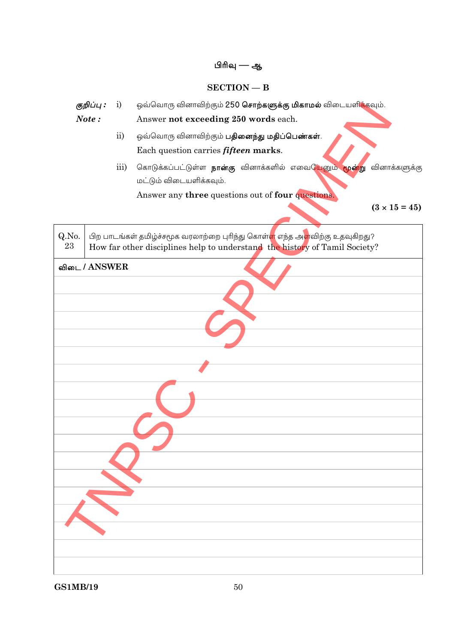### பிரிவு — ஆ

### $SECTION - B$

குறிப்பு : ஒவ்வொரு வினாவிற்கும் 250 சொ**ற்களுக்கு மிகாமல்** விடையளி<mark>க்க</mark>வும்.  $i)$ 

Answer not exceeding 250 words each. Note:

- ஒவ்வொரு வினாவிற்கும் **பதினைந்து மதிப்பெண்கள்**.  $\mathbf{ii}$ Each question carries *fifteen* marks.
- கொடுக்கப்பட்டுள்ள **நான்கு** வினாக்களில் எவை<mark>யேனும் மூன்று</mark> வினாக்களுக்கு iii) மட்டும் விடையளிக்கவும்.

Answer any three questions out of four questions.

 $(3 \times 15 = 45)$ 

| Q.No.<br>23 | பிற பாடங்கள் தமிழ்ச்சமூக வரலாற்றை புரிந்து கொள் <mark>ள</mark> எந்த அ <mark>ள</mark> விற்கு உதவுகிறது?<br>How far other disciplines help to understand the history of Tamil Society? |  |
|-------------|--------------------------------------------------------------------------------------------------------------------------------------------------------------------------------------|--|
|             | விடை / ANSWER                                                                                                                                                                        |  |
|             |                                                                                                                                                                                      |  |
|             |                                                                                                                                                                                      |  |
|             |                                                                                                                                                                                      |  |
|             |                                                                                                                                                                                      |  |
|             |                                                                                                                                                                                      |  |
|             |                                                                                                                                                                                      |  |
|             |                                                                                                                                                                                      |  |
|             |                                                                                                                                                                                      |  |
|             |                                                                                                                                                                                      |  |
|             |                                                                                                                                                                                      |  |
|             |                                                                                                                                                                                      |  |
|             |                                                                                                                                                                                      |  |
|             |                                                                                                                                                                                      |  |
|             |                                                                                                                                                                                      |  |
|             |                                                                                                                                                                                      |  |
|             |                                                                                                                                                                                      |  |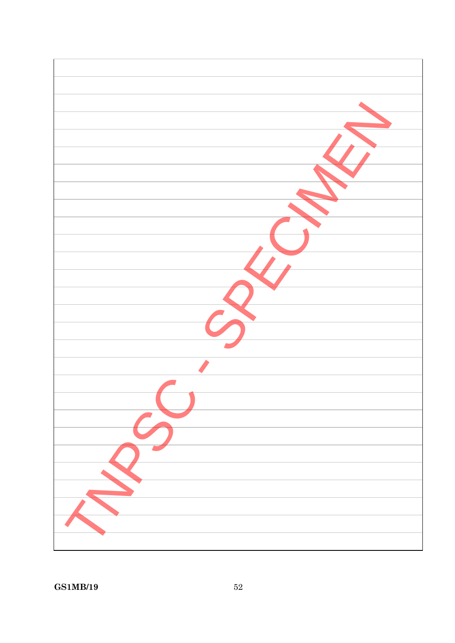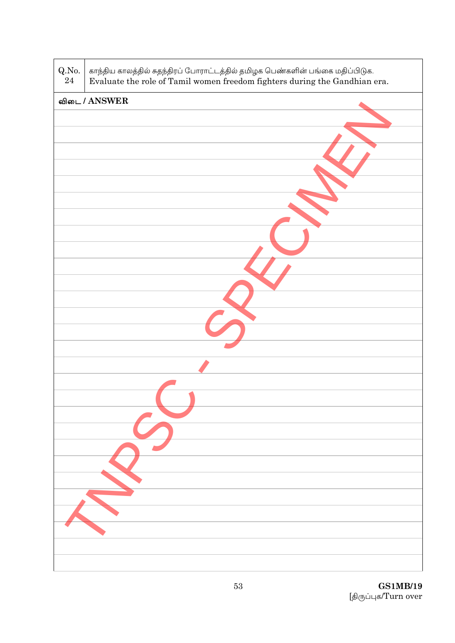| Q.No.<br>$\bf 24$ | காந்திய காலத்தில் சுதந்திரப் போராட்டத்தில் தமிழக பெண்களின் பங்கை மதிப்பிடுக.<br>Evaluate the role of Tamil women freedom fighters during the Gandhian era. |
|-------------------|------------------------------------------------------------------------------------------------------------------------------------------------------------|
|                   | விடை / ANSWER                                                                                                                                              |
|                   |                                                                                                                                                            |
|                   |                                                                                                                                                            |
|                   |                                                                                                                                                            |
|                   |                                                                                                                                                            |
|                   |                                                                                                                                                            |
|                   |                                                                                                                                                            |
|                   |                                                                                                                                                            |
|                   |                                                                                                                                                            |
|                   |                                                                                                                                                            |
|                   |                                                                                                                                                            |
|                   |                                                                                                                                                            |
|                   |                                                                                                                                                            |
|                   |                                                                                                                                                            |
|                   |                                                                                                                                                            |
|                   |                                                                                                                                                            |
|                   |                                                                                                                                                            |
|                   |                                                                                                                                                            |
|                   |                                                                                                                                                            |
|                   |                                                                                                                                                            |
|                   |                                                                                                                                                            |
|                   |                                                                                                                                                            |
|                   |                                                                                                                                                            |
|                   |                                                                                                                                                            |
|                   |                                                                                                                                                            |
|                   |                                                                                                                                                            |
|                   |                                                                                                                                                            |
|                   |                                                                                                                                                            |
|                   |                                                                                                                                                            |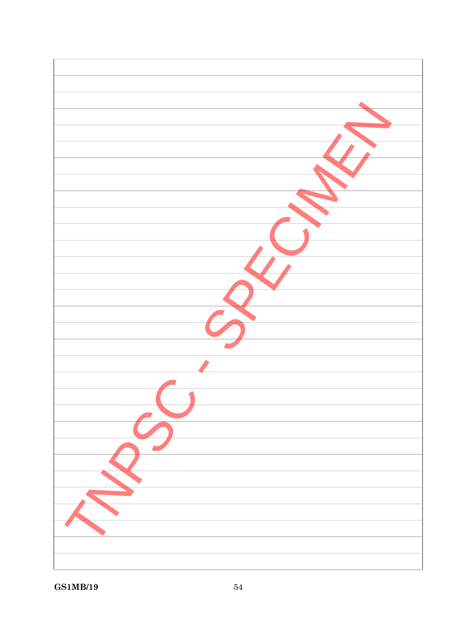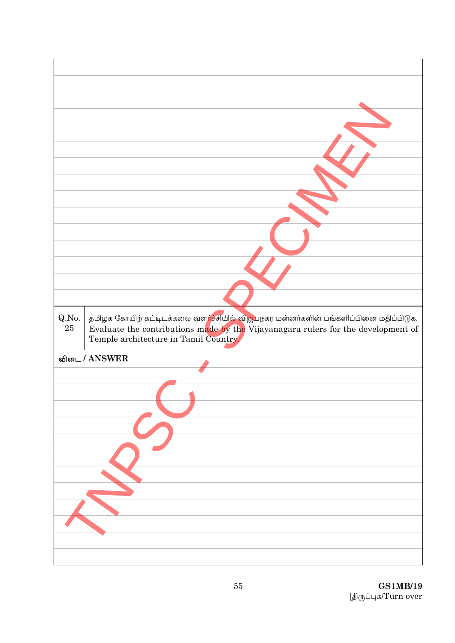| Q.No.<br>$25\,$ | தமிழக கோயிற் கட்டிடக்கலை வள <mark>ர்ச்சியில் விஜய</mark> நகர மன்னா்களின் பங்களிப்பினை மதிப்பிடுக.<br>Evaluate the contributions made by the Vijayanagara rulers for the development of<br>Temple architecture in Tamil Country. |
|-----------------|---------------------------------------------------------------------------------------------------------------------------------------------------------------------------------------------------------------------------------|
|                 | விடை / ANSWER                                                                                                                                                                                                                   |
|                 |                                                                                                                                                                                                                                 |
|                 |                                                                                                                                                                                                                                 |
|                 |                                                                                                                                                                                                                                 |
|                 |                                                                                                                                                                                                                                 |
|                 |                                                                                                                                                                                                                                 |
|                 |                                                                                                                                                                                                                                 |
|                 |                                                                                                                                                                                                                                 |
|                 |                                                                                                                                                                                                                                 |
|                 |                                                                                                                                                                                                                                 |
|                 |                                                                                                                                                                                                                                 |
|                 |                                                                                                                                                                                                                                 |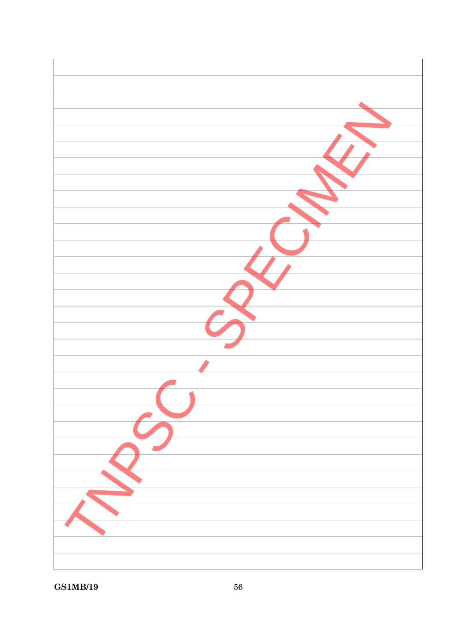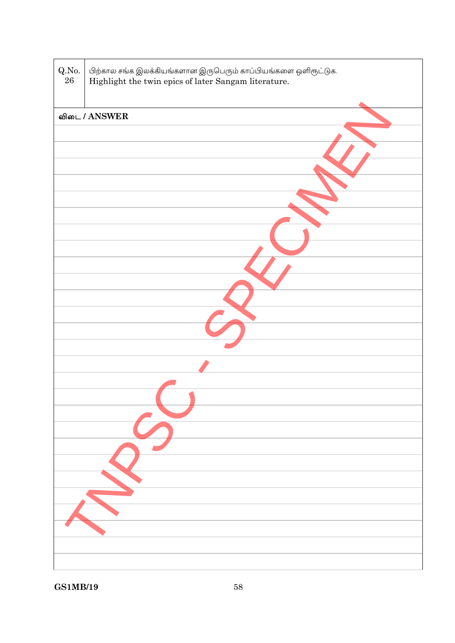| Q.No.<br>${\bf 26}$ | பிற்கால சங்க இலக்கியங்களான இருபெரும் காப்பியங்களை ஒளிரூட்டுக.<br>Highlight the twin epics of later Sangam literature. |
|---------------------|-----------------------------------------------------------------------------------------------------------------------|
|                     | விடை / ANSWER                                                                                                         |
|                     |                                                                                                                       |
|                     |                                                                                                                       |
|                     |                                                                                                                       |
|                     |                                                                                                                       |
|                     |                                                                                                                       |
|                     |                                                                                                                       |
|                     |                                                                                                                       |
|                     |                                                                                                                       |
|                     |                                                                                                                       |
|                     |                                                                                                                       |
|                     |                                                                                                                       |
|                     |                                                                                                                       |
|                     |                                                                                                                       |
|                     |                                                                                                                       |
|                     |                                                                                                                       |
|                     |                                                                                                                       |
|                     |                                                                                                                       |
|                     |                                                                                                                       |
|                     |                                                                                                                       |
|                     |                                                                                                                       |
|                     |                                                                                                                       |
|                     |                                                                                                                       |
|                     |                                                                                                                       |
|                     |                                                                                                                       |
|                     |                                                                                                                       |
|                     |                                                                                                                       |
|                     |                                                                                                                       |
|                     |                                                                                                                       |
|                     |                                                                                                                       |
|                     |                                                                                                                       |
|                     |                                                                                                                       |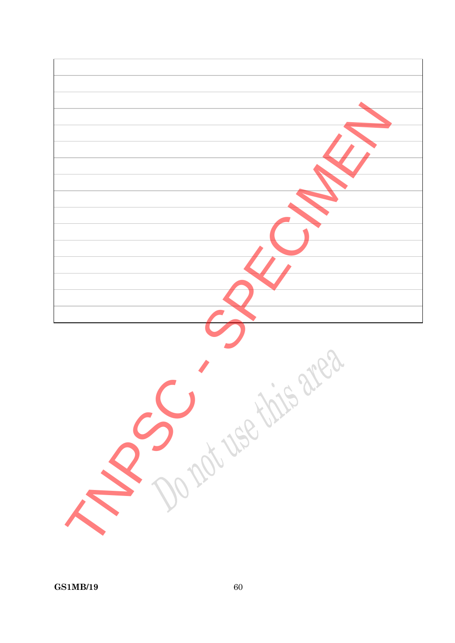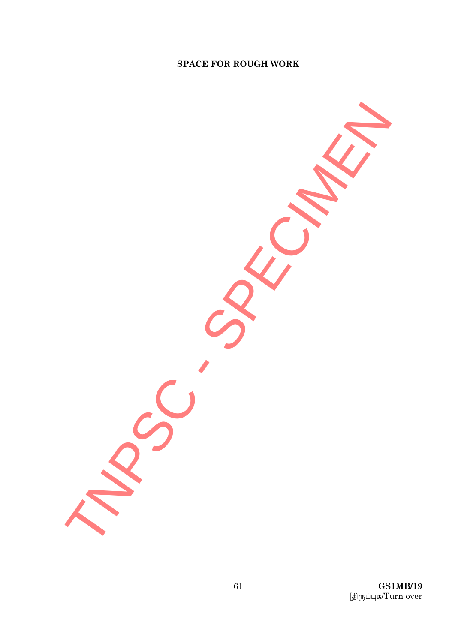# **SPACE FOR ROUGH WORK**

**GS1MB/19** [திருப்புக/Turn over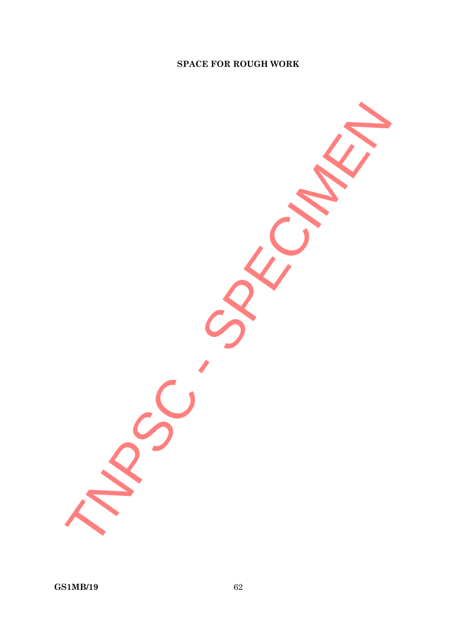# **SPACE FOR ROUGH WORK**

[TNPSC - SPECIMEN](#page-0-0)T